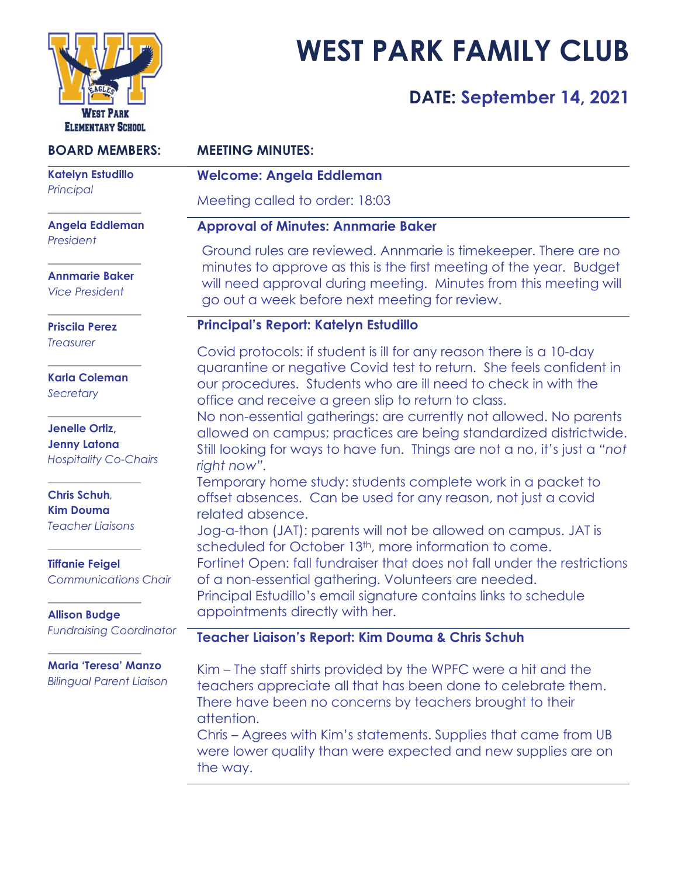

# **WEST PARK FAMILY CLUB**

# **DATE: September 14, 2021**

| <b>BOARD MEMBERS:</b>                                                          | <b>MEETING MINUTES:</b>                                                                                                                                                                                                                                                                                                                                                                                                                                                                                                                                                                 |
|--------------------------------------------------------------------------------|-----------------------------------------------------------------------------------------------------------------------------------------------------------------------------------------------------------------------------------------------------------------------------------------------------------------------------------------------------------------------------------------------------------------------------------------------------------------------------------------------------------------------------------------------------------------------------------------|
| <b>Katelyn Estudillo</b><br>Principal                                          | <b>Welcome: Angela Eddleman</b>                                                                                                                                                                                                                                                                                                                                                                                                                                                                                                                                                         |
|                                                                                | Meeting called to order: 18:03                                                                                                                                                                                                                                                                                                                                                                                                                                                                                                                                                          |
| Angela Eddleman<br>President<br><b>Annmarie Baker</b><br><b>Vice President</b> | <b>Approval of Minutes: Annmarie Baker</b>                                                                                                                                                                                                                                                                                                                                                                                                                                                                                                                                              |
|                                                                                | Ground rules are reviewed. Annmarie is timekeeper. There are no<br>minutes to approve as this is the first meeting of the year. Budget<br>will need approval during meeting. Minutes from this meeting will                                                                                                                                                                                                                                                                                                                                                                             |
|                                                                                | go out a week before next meeting for review.                                                                                                                                                                                                                                                                                                                                                                                                                                                                                                                                           |
| <b>Priscila Perez</b><br><b>Treasurer</b>                                      | Principal's Report: Katelyn Estudillo                                                                                                                                                                                                                                                                                                                                                                                                                                                                                                                                                   |
|                                                                                | Covid protocols: if student is ill for any reason there is a 10-day                                                                                                                                                                                                                                                                                                                                                                                                                                                                                                                     |
| <b>Karla Coleman</b><br>Secretary                                              | quarantine or negative Covid test to return. She feels confident in<br>our procedures. Students who are ill need to check in with the<br>office and receive a green slip to return to class.<br>No non-essential gatherings: are currently not allowed. No parents<br>allowed on campus; practices are being standardized districtwide.<br>Still looking for ways to have fun. Things are not a no, it's just a "not<br>right now".<br>Temporary home study: students complete work in a packet to<br>offset absences. Can be used for any reason, not just a covid<br>related absence. |
| Jenelle Ortiz,<br><b>Jenny Latona</b><br><b>Hospitality Co-Chairs</b>          |                                                                                                                                                                                                                                                                                                                                                                                                                                                                                                                                                                                         |
| Chris Schuh,<br><b>Kim Douma</b>                                               |                                                                                                                                                                                                                                                                                                                                                                                                                                                                                                                                                                                         |
| <b>Teacher Liaisons</b>                                                        | Jog-a-thon (JAT): parents will not be allowed on campus. JAT is<br>scheduled for October 13 <sup>th</sup> , more information to come.                                                                                                                                                                                                                                                                                                                                                                                                                                                   |
| <b>Tiffanie Feigel</b><br><b>Communications Chair</b>                          | Fortinet Open: fall fundraiser that does not fall under the restrictions<br>of a non-essential gathering. Volunteers are needed.                                                                                                                                                                                                                                                                                                                                                                                                                                                        |
| <b>Allison Budge</b>                                                           | Principal Estudillo's email signature contains links to schedule<br>appointments directly with her.                                                                                                                                                                                                                                                                                                                                                                                                                                                                                     |
| <b>Fundraising Coordinator</b>                                                 | Teacher Liaison's Report: Kim Douma & Chris Schuh                                                                                                                                                                                                                                                                                                                                                                                                                                                                                                                                       |
| <b>Maria 'Teresa' Manzo</b><br><b>Bilingual Parent Liaison</b>                 | Kim – The staff shirts provided by the WPFC were a hit and the<br>teachers appreciate all that has been done to celebrate them.<br>There have been no concerns by teachers brought to their<br>attention.<br>Chris – Agrees with Kim's statements. Supplies that came from UB                                                                                                                                                                                                                                                                                                           |
|                                                                                | were lower quality than were expected and new supplies are on                                                                                                                                                                                                                                                                                                                                                                                                                                                                                                                           |

the way.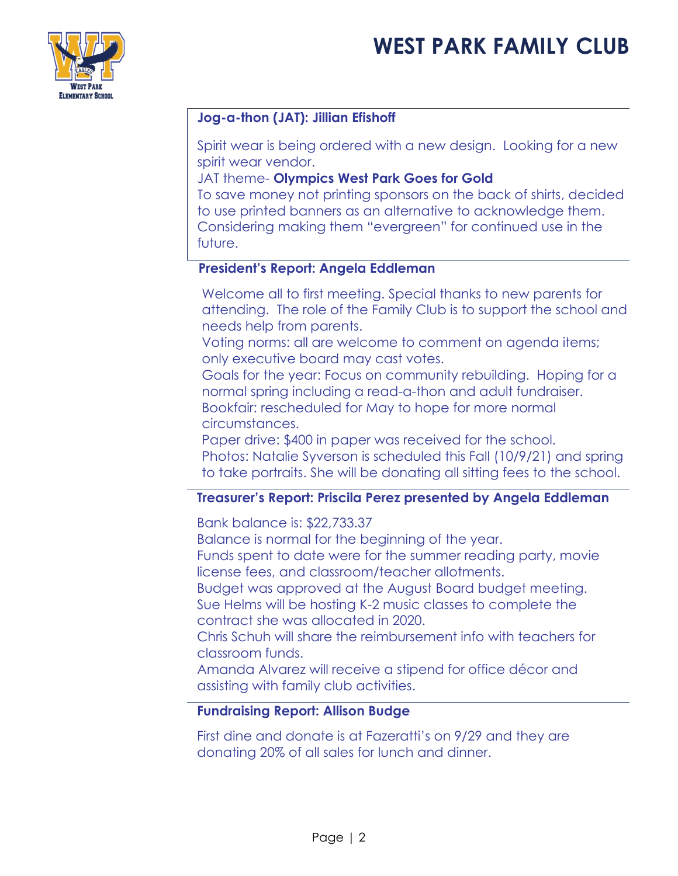

## **Jog-a-thon (JAT): Jillian Efishoff**

Spirit wear is being ordered with a new design. Looking for a new spirit wear vendor.

JAT theme- **Olympics West Park Goes for Gold**

To save money not printing sponsors on the back of shirts, decided to use printed banners as an alternative to acknowledge them. Considering making them "evergreen" for continued use in the future.

### **President's Report: Angela Eddleman**

- Welcome all to first meeting. Special thanks to new parents for attending. The role of the Family Club is to support the school and needs help from parents.
- Voting norms: all are welcome to comment on agenda items; only executive board may cast votes.
- Goals for the year: Focus on community rebuilding. Hoping for a normal spring including a read-a-thon and adult fundraiser. Bookfair: rescheduled for May to hope for more normal circumstances.
- Paper drive: \$400 in paper was received for the school. Photos: Natalie Syverson is scheduled this Fall (10/9/21) and spring
- to take portraits. She will be donating all sitting fees to the school.

### **Treasurer's Report: Priscila Perez presented by Angela Eddleman**

- Bank balance is: \$22,733.37
- Balance is normal for the beginning of the year.
- Funds spent to date were for the summer reading party, movie license fees, and classroom/teacher allotments.
- Budget was approved at the August Board budget meeting. Sue Helms will be hosting K-2 music classes to complete the contract she was allocated in 2020.
- Chris Schuh will share the reimbursement info with teachers for classroom funds.
- Amanda Alvarez will receive a stipend for office décor and assisting with family club activities.

#### **Fundraising Report: Allison Budge**

First dine and donate is at Fazeratti's on 9/29 and they are donating 20% of all sales for lunch and dinner.